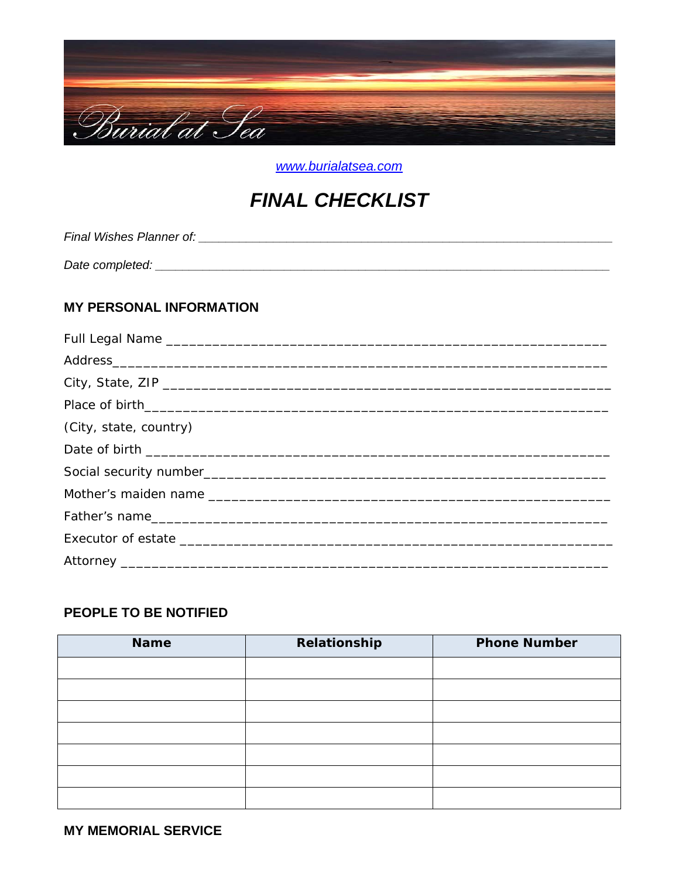

www.burialatsea.com

# **FINAL CHECKLIST**

**MY PERSONAL INFORMATION** Full Legal Name

| (City, state, country) |
|------------------------|
|                        |
|                        |
|                        |
|                        |
|                        |
|                        |

## PEOPLE TO BE NOTIFIED

| <b>Name</b> | Relationship | <b>Phone Number</b> |
|-------------|--------------|---------------------|
|             |              |                     |
|             |              |                     |
|             |              |                     |
|             |              |                     |
|             |              |                     |
|             |              |                     |
|             |              |                     |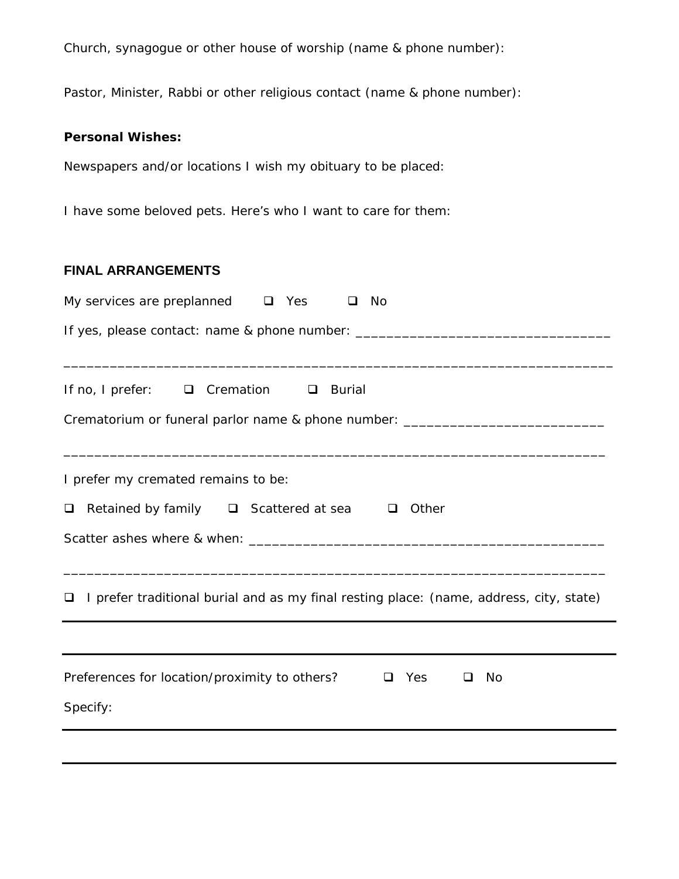Church, synagogue or other house of worship (name & phone number):

Pastor, Minister, Rabbi or other religious contact (name & phone number):

#### **Personal Wishes:**

Newspapers and/or locations I wish my obituary to be placed:

I have some beloved pets. Here's who I want to care for them:

### **FINAL ARRANGEMENTS**

| My services are preplanned $\square$ Yes<br>No<br>□                                                                       |
|---------------------------------------------------------------------------------------------------------------------------|
| If yes, please contact: name & phone number: ___________________________________                                          |
| If no, I prefer: □ Cremation □ Burial<br>Crematorium or funeral parlor name & phone number: _____________________________ |
| I prefer my cremated remains to be:<br>Retained by family $\Box$ Scattered at sea $\Box$ Other<br>□                       |
| I prefer traditional burial and as my final resting place: (name, address, city, state)<br>□                              |
| Preferences for location/proximity to others?<br>$\Box$ Yes<br>- No<br>□<br>Specify:                                      |
|                                                                                                                           |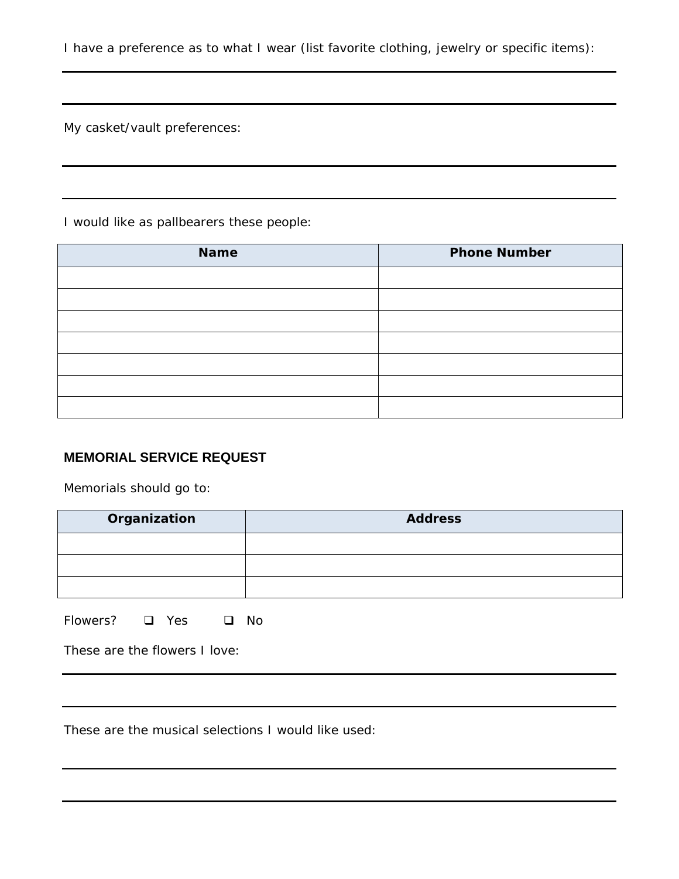I have a preference as to what I wear (list favorite clothing, jewelry or specific items):

My casket/vault preferences:

I would like as pallbearers these people:

| <b>Name</b> | <b>Phone Number</b> |
|-------------|---------------------|
|             |                     |
|             |                     |
|             |                     |
|             |                     |
|             |                     |
|             |                     |
|             |                     |

## **MEMORIAL SERVICE REQUEST**

Memorials should go to:

| Organization | <b>Address</b> |  |
|--------------|----------------|--|
|              |                |  |
|              |                |  |
|              |                |  |

Flowers? **Q** Yes **Q** No

These are the flowers I love:

These are the musical selections I would like used: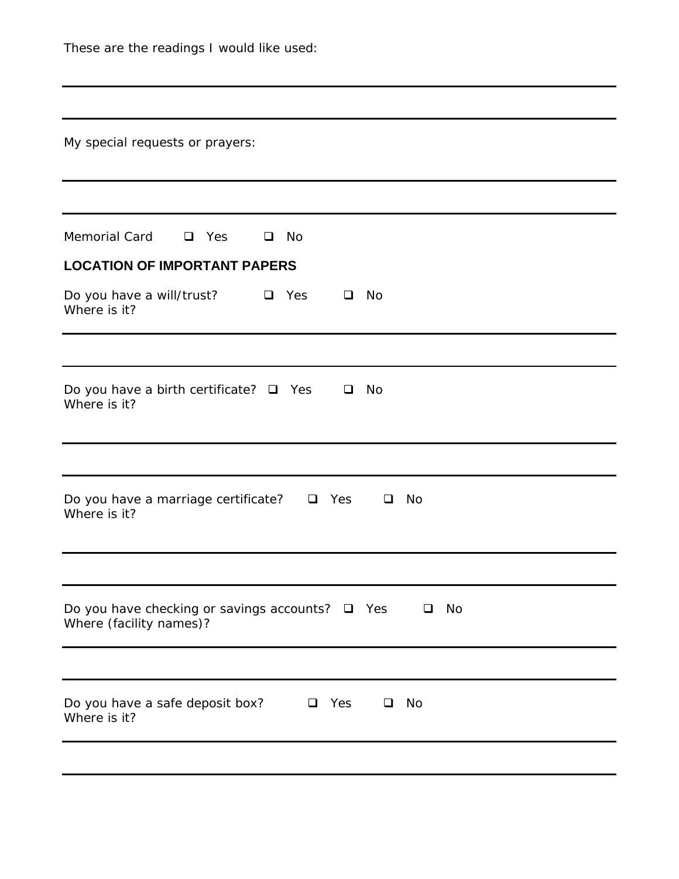| These are the readings I would like used:                                                       |
|-------------------------------------------------------------------------------------------------|
|                                                                                                 |
| My special requests or prayers:                                                                 |
|                                                                                                 |
| Memorial Card<br>$\Box$ Yes<br>No<br>□                                                          |
| <b>LOCATION OF IMPORTANT PAPERS</b>                                                             |
| Do you have a will/trust? $\Box$ Yes<br>No<br>$\Box$<br>Where is it?                            |
|                                                                                                 |
| Do you have a birth certificate? $\Box$ Yes<br>No<br>$\Box$<br>Where is it?                     |
|                                                                                                 |
| Do you have a marriage certificate?<br>No<br>$\Box$ Yes<br>$\Box$<br>Where is it?               |
|                                                                                                 |
| Do you have checking or savings accounts? $\Box$ Yes<br>No<br>$\Box$<br>Where (facility names)? |
|                                                                                                 |
| Do you have a safe deposit box?<br>Yes<br>No<br>❏<br>❏<br>Where is it?                          |
|                                                                                                 |
|                                                                                                 |